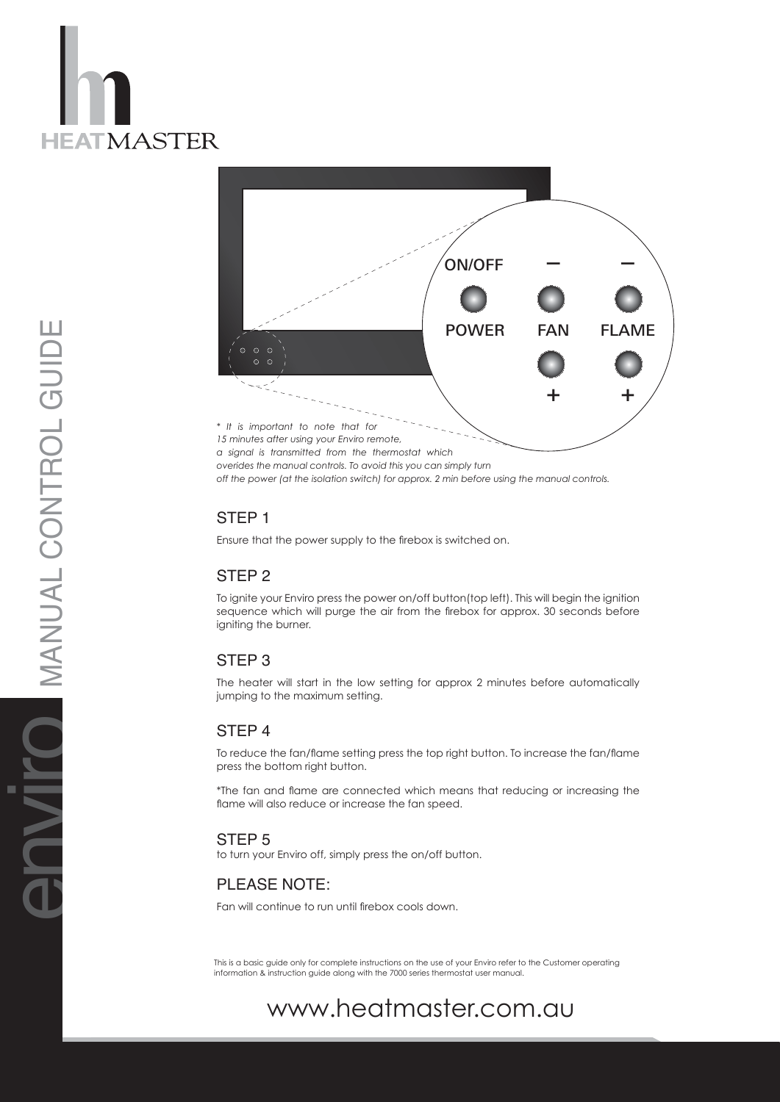



## STEP<sub>1</sub>

Ensure that the power supply to the firebox is switched on.

## STEP 2

To ignite your Enviro press the power on/off button(top left). This will begin the ignition sequence which will purge the air from the firebox for approx. 30 seconds before igniting the burner.

### STEP<sub>3</sub>

The heater will start in the low setting for approx 2 minutes before automatically jumping to the maximum setting.

### STEP<sub>4</sub>

To reduce the fan/flame setting press the top right button. To increase the fan/flame press the bottom right button.

\*The fan and flame are connected which means that reducing or increasing the flame will also reduce or increase the fan speed.

### STEP<sub>5</sub>

to turn your Enviro off, simply press the on/off button.

# PLEA S E NOTE :

Fan will continue to run until firebox cools down.

This is a basic guide only for complete instructions on the use of your Enviro refer to the Customer operating information & instruction guide along with the 7000 series thermostat user manual.